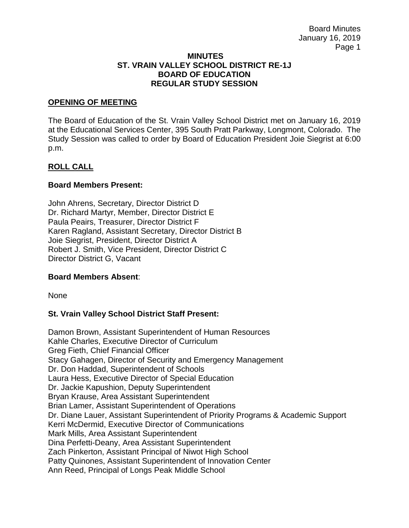#### **MINUTES ST. VRAIN VALLEY SCHOOL DISTRICT RE-1J BOARD OF EDUCATION REGULAR STUDY SESSION**

### **OPENING OF MEETING**

The Board of Education of the St. Vrain Valley School District met on January 16, 2019 at the Educational Services Center, 395 South Pratt Parkway, Longmont, Colorado. The Study Session was called to order by Board of Education President Joie Siegrist at 6:00 p.m.

## **ROLL CALL**

## **Board Members Present:**

John Ahrens, Secretary, Director District D Dr. Richard Martyr, Member, Director District E Paula Peairs, Treasurer, Director District F Karen Ragland, Assistant Secretary, Director District B Joie Siegrist, President, Director District A Robert J. Smith, Vice President, Director District C Director District G, Vacant

## **Board Members Absent**:

None

## **St. Vrain Valley School District Staff Present:**

Damon Brown, Assistant Superintendent of Human Resources Kahle Charles, Executive Director of Curriculum Greg Fieth, Chief Financial Officer Stacy Gahagen, Director of Security and Emergency Management Dr. Don Haddad, Superintendent of Schools Laura Hess, Executive Director of Special Education Dr. Jackie Kapushion, Deputy Superintendent Bryan Krause, Area Assistant Superintendent Brian Lamer, Assistant Superintendent of Operations Dr. Diane Lauer, Assistant Superintendent of Priority Programs & Academic Support Kerri McDermid, Executive Director of Communications Mark Mills, Area Assistant Superintendent Dina Perfetti-Deany, Area Assistant Superintendent Zach Pinkerton, Assistant Principal of Niwot High School Patty Quinones, Assistant Superintendent of Innovation Center Ann Reed, Principal of Longs Peak Middle School